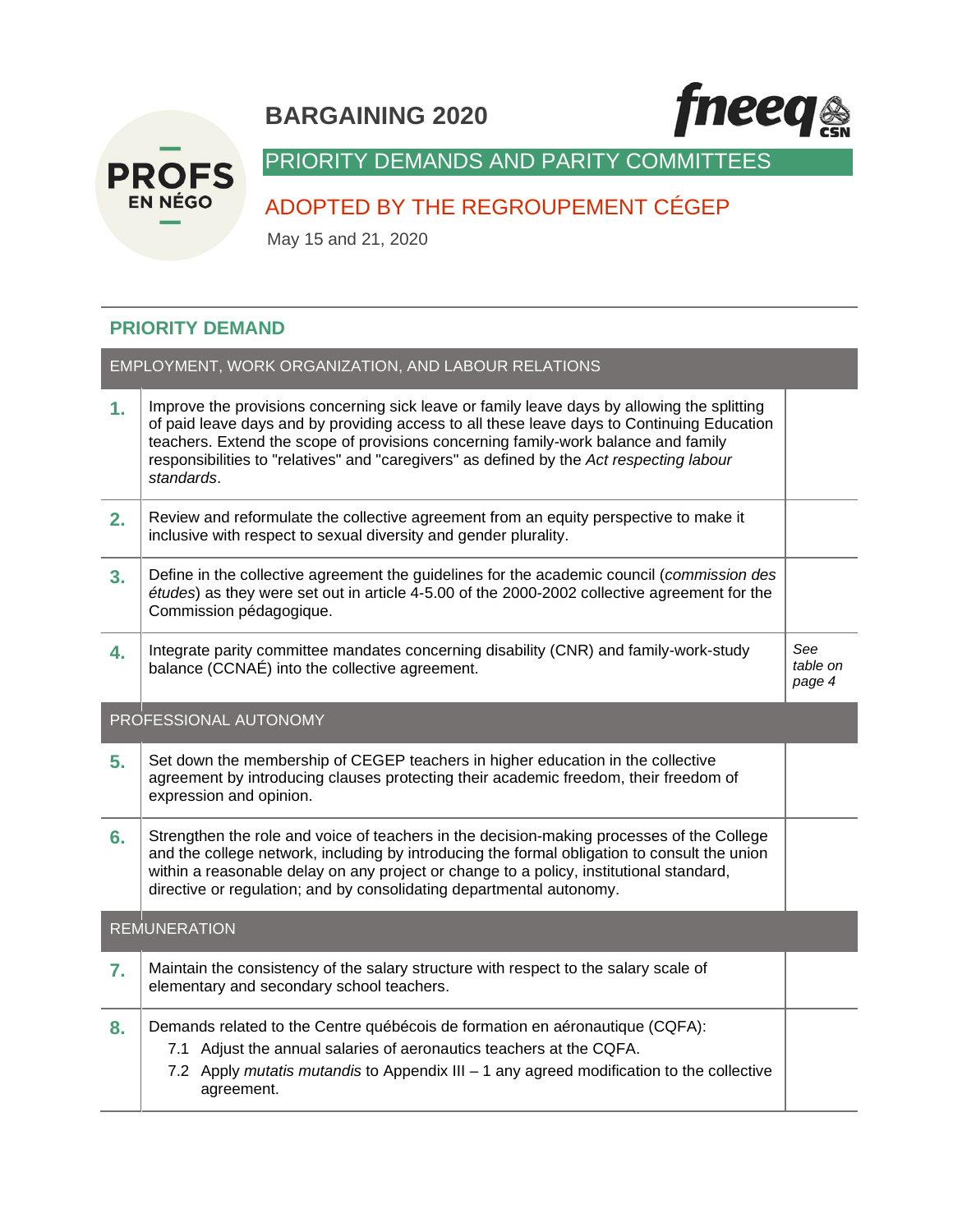# **BARGAINING 2020**





# PRIORITY DEMANDS AND PARITY COMMITTEES

# ADOPTED BY THE REGROUPEMENT CÉGEP

May 15 and 21, 2020

## **PRIORITY DEMAND**

| EMPLOYMENT, WORK ORGANIZATION, AND LABOUR RELATIONS |                                                                                                                                                                                                                                                                                                                                                                                           |                           |  |
|-----------------------------------------------------|-------------------------------------------------------------------------------------------------------------------------------------------------------------------------------------------------------------------------------------------------------------------------------------------------------------------------------------------------------------------------------------------|---------------------------|--|
| 1.                                                  | Improve the provisions concerning sick leave or family leave days by allowing the splitting<br>of paid leave days and by providing access to all these leave days to Continuing Education<br>teachers. Extend the scope of provisions concerning family-work balance and family<br>responsibilities to "relatives" and "caregivers" as defined by the Act respecting labour<br>standards. |                           |  |
| 2.                                                  | Review and reformulate the collective agreement from an equity perspective to make it<br>inclusive with respect to sexual diversity and gender plurality.                                                                                                                                                                                                                                 |                           |  |
| 3.                                                  | Define in the collective agreement the guidelines for the academic council (commission des<br>études) as they were set out in article 4-5.00 of the 2000-2002 collective agreement for the<br>Commission pédagogique.                                                                                                                                                                     |                           |  |
| 4.                                                  | Integrate parity committee mandates concerning disability (CNR) and family-work-study<br>balance (CCNAÉ) into the collective agreement.                                                                                                                                                                                                                                                   | See<br>table on<br>page 4 |  |
| PROFESSIONAL AUTONOMY                               |                                                                                                                                                                                                                                                                                                                                                                                           |                           |  |
|                                                     |                                                                                                                                                                                                                                                                                                                                                                                           |                           |  |
| 5.                                                  | Set down the membership of CEGEP teachers in higher education in the collective<br>agreement by introducing clauses protecting their academic freedom, their freedom of<br>expression and opinion.                                                                                                                                                                                        |                           |  |
| 6.                                                  | Strengthen the role and voice of teachers in the decision-making processes of the College<br>and the college network, including by introducing the formal obligation to consult the union<br>within a reasonable delay on any project or change to a policy, institutional standard,<br>directive or regulation; and by consolidating departmental autonomy.                              |                           |  |
|                                                     | <b>REMUNERATION</b>                                                                                                                                                                                                                                                                                                                                                                       |                           |  |
| 7.                                                  | Maintain the consistency of the salary structure with respect to the salary scale of<br>elementary and secondary school teachers.                                                                                                                                                                                                                                                         |                           |  |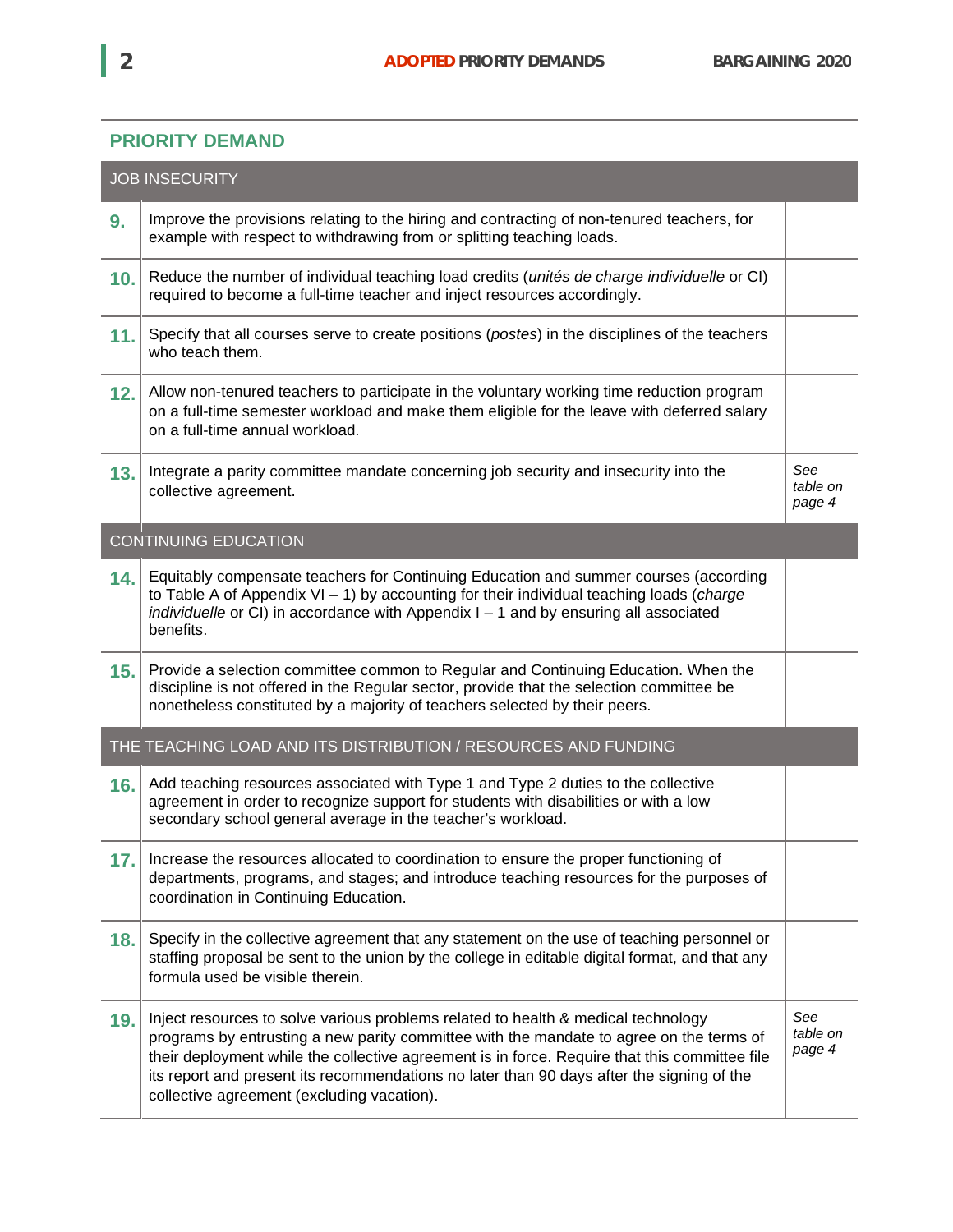## **PRIORITY DEMAND**

| <b>JOB INSECURITY</b> |                                                                                                                                                                                                                                                                                                                                                                                                                          |                           |  |
|-----------------------|--------------------------------------------------------------------------------------------------------------------------------------------------------------------------------------------------------------------------------------------------------------------------------------------------------------------------------------------------------------------------------------------------------------------------|---------------------------|--|
| 9.                    | Improve the provisions relating to the hiring and contracting of non-tenured teachers, for<br>example with respect to withdrawing from or splitting teaching loads.                                                                                                                                                                                                                                                      |                           |  |
| 10.                   | Reduce the number of individual teaching load credits (unités de charge individuelle or CI)<br>required to become a full-time teacher and inject resources accordingly.                                                                                                                                                                                                                                                  |                           |  |
| 11.                   | Specify that all courses serve to create positions (postes) in the disciplines of the teachers<br>who teach them.                                                                                                                                                                                                                                                                                                        |                           |  |
| 12.                   | Allow non-tenured teachers to participate in the voluntary working time reduction program<br>on a full-time semester workload and make them eligible for the leave with deferred salary<br>on a full-time annual workload.                                                                                                                                                                                               |                           |  |
| 13.                   | Integrate a parity committee mandate concerning job security and insecurity into the<br>collective agreement.                                                                                                                                                                                                                                                                                                            | See<br>table on<br>page 4 |  |
|                       | <b>CONTINUING EDUCATION</b>                                                                                                                                                                                                                                                                                                                                                                                              |                           |  |
| 14.                   | Equitably compensate teachers for Continuing Education and summer courses (according<br>to Table A of Appendix $VI - 1$ ) by accounting for their individual teaching loads ( <i>charge</i><br>individuelle or CI) in accordance with Appendix $I - 1$ and by ensuring all associated<br>benefits.                                                                                                                       |                           |  |
| 15.                   | Provide a selection committee common to Regular and Continuing Education. When the<br>discipline is not offered in the Regular sector, provide that the selection committee be<br>nonetheless constituted by a majority of teachers selected by their peers.                                                                                                                                                             |                           |  |
|                       | THE TEACHING LOAD AND ITS DISTRIBUTION / RESOURCES AND FUNDING                                                                                                                                                                                                                                                                                                                                                           |                           |  |
| 16.                   | Add teaching resources associated with Type 1 and Type 2 duties to the collective<br>agreement in order to recognize support for students with disabilities or with a low<br>secondary school general average in the teacher's workload.                                                                                                                                                                                 |                           |  |
| 17.                   | Increase the resources allocated to coordination to ensure the proper functioning of<br>departments, programs, and stages; and introduce teaching resources for the purposes of<br>coordination in Continuing Education.                                                                                                                                                                                                 |                           |  |
| 18.                   | Specify in the collective agreement that any statement on the use of teaching personnel or<br>staffing proposal be sent to the union by the college in editable digital format, and that any<br>formula used be visible therein.                                                                                                                                                                                         |                           |  |
| 19.                   | Inject resources to solve various problems related to health & medical technology<br>programs by entrusting a new parity committee with the mandate to agree on the terms of<br>their deployment while the collective agreement is in force. Require that this committee file<br>its report and present its recommendations no later than 90 days after the signing of the<br>collective agreement (excluding vacation). | See<br>table on<br>page 4 |  |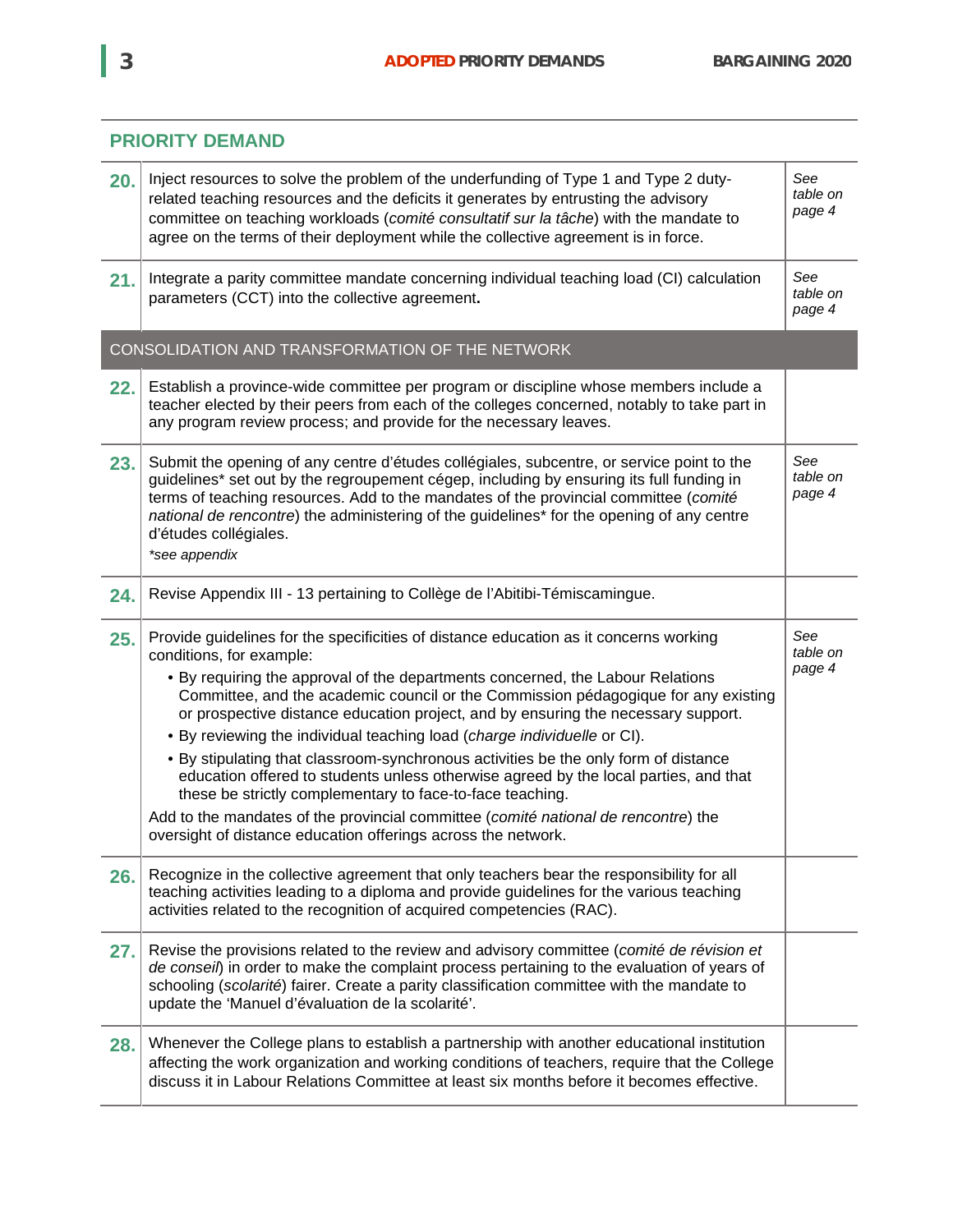

# **PRIORITY DEMAND**

| 20. | Inject resources to solve the problem of the underfunding of Type 1 and Type 2 duty-<br>related teaching resources and the deficits it generates by entrusting the advisory<br>committee on teaching workloads (comité consultatif sur la tâche) with the mandate to<br>agree on the terms of their deployment while the collective agreement is in force.                                                                                                                                                                                                                                                                                                                                                                                                                                                                                                    | See<br>table on<br>page 4 |
|-----|---------------------------------------------------------------------------------------------------------------------------------------------------------------------------------------------------------------------------------------------------------------------------------------------------------------------------------------------------------------------------------------------------------------------------------------------------------------------------------------------------------------------------------------------------------------------------------------------------------------------------------------------------------------------------------------------------------------------------------------------------------------------------------------------------------------------------------------------------------------|---------------------------|
| 21. | Integrate a parity committee mandate concerning individual teaching load (CI) calculation<br>parameters (CCT) into the collective agreement.                                                                                                                                                                                                                                                                                                                                                                                                                                                                                                                                                                                                                                                                                                                  | See<br>table on<br>page 4 |
|     | CONSOLIDATION AND TRANSFORMATION OF THE NETWORK                                                                                                                                                                                                                                                                                                                                                                                                                                                                                                                                                                                                                                                                                                                                                                                                               |                           |
| 22. | Establish a province-wide committee per program or discipline whose members include a<br>teacher elected by their peers from each of the colleges concerned, notably to take part in<br>any program review process; and provide for the necessary leaves.                                                                                                                                                                                                                                                                                                                                                                                                                                                                                                                                                                                                     |                           |
| 23. | Submit the opening of any centre d'études collégiales, subcentre, or service point to the<br>guidelines* set out by the regroupement cégep, including by ensuring its full funding in<br>terms of teaching resources. Add to the mandates of the provincial committee (comité<br>national de rencontre) the administering of the guidelines* for the opening of any centre<br>d'études collégiales.<br>*see appendix                                                                                                                                                                                                                                                                                                                                                                                                                                          | See<br>table on<br>page 4 |
| 24. | Revise Appendix III - 13 pertaining to Collège de l'Abitibi-Témiscamingue.                                                                                                                                                                                                                                                                                                                                                                                                                                                                                                                                                                                                                                                                                                                                                                                    |                           |
| 25. | Provide guidelines for the specificities of distance education as it concerns working<br>conditions, for example:<br>• By requiring the approval of the departments concerned, the Labour Relations<br>Committee, and the academic council or the Commission pédagogique for any existing<br>or prospective distance education project, and by ensuring the necessary support.<br>. By reviewing the individual teaching load (charge individuelle or CI).<br>. By stipulating that classroom-synchronous activities be the only form of distance<br>education offered to students unless otherwise agreed by the local parties, and that<br>these be strictly complementary to face-to-face teaching.<br>Add to the mandates of the provincial committee (comité national de rencontre) the<br>oversight of distance education offerings across the network. | See<br>table on<br>page 4 |
| 26. | Recognize in the collective agreement that only teachers bear the responsibility for all<br>teaching activities leading to a diploma and provide guidelines for the various teaching<br>activities related to the recognition of acquired competencies (RAC).                                                                                                                                                                                                                                                                                                                                                                                                                                                                                                                                                                                                 |                           |
| 27. | Revise the provisions related to the review and advisory committee (comité de révision et<br>de conseil) in order to make the complaint process pertaining to the evaluation of years of<br>schooling (scolarité) fairer. Create a parity classification committee with the mandate to<br>update the 'Manuel d'évaluation de la scolarité'.                                                                                                                                                                                                                                                                                                                                                                                                                                                                                                                   |                           |
| 28. | Whenever the College plans to establish a partnership with another educational institution<br>affecting the work organization and working conditions of teachers, require that the College<br>discuss it in Labour Relations Committee at least six months before it becomes effective.                                                                                                                                                                                                                                                                                                                                                                                                                                                                                                                                                                       |                           |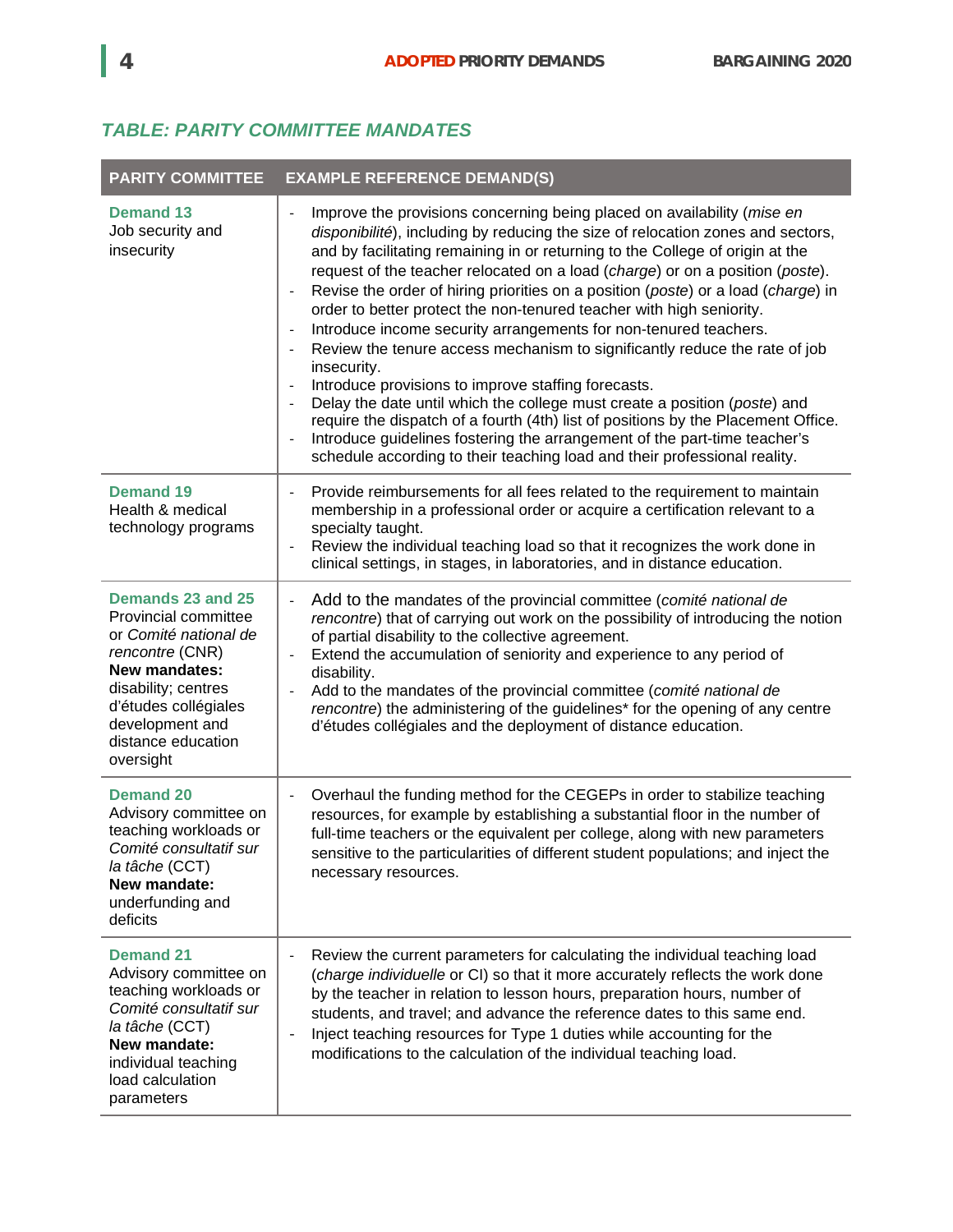## *TABLE: PARITY COMMITTEE MANDATES*

| <b>PARITY COMMITTEE</b>                                                                                                                                                                                     | <b>EXAMPLE REFERENCE DEMAND(S)</b>                                                                                                                                                                                                                                                                                                                                                                                                                                                                                                                                                                                                                                                                                                                                                                                                                                                                                                                                                                                                            |  |  |  |
|-------------------------------------------------------------------------------------------------------------------------------------------------------------------------------------------------------------|-----------------------------------------------------------------------------------------------------------------------------------------------------------------------------------------------------------------------------------------------------------------------------------------------------------------------------------------------------------------------------------------------------------------------------------------------------------------------------------------------------------------------------------------------------------------------------------------------------------------------------------------------------------------------------------------------------------------------------------------------------------------------------------------------------------------------------------------------------------------------------------------------------------------------------------------------------------------------------------------------------------------------------------------------|--|--|--|
| <b>Demand 13</b><br>Job security and<br>insecurity                                                                                                                                                          | Improve the provisions concerning being placed on availability (mise en<br>disponibilité), including by reducing the size of relocation zones and sectors,<br>and by facilitating remaining in or returning to the College of origin at the<br>request of the teacher relocated on a load (charge) or on a position (poste).<br>Revise the order of hiring priorities on a position (poste) or a load (charge) in<br>order to better protect the non-tenured teacher with high seniority.<br>Introduce income security arrangements for non-tenured teachers.<br>Review the tenure access mechanism to significantly reduce the rate of job<br>insecurity.<br>Introduce provisions to improve staffing forecasts.<br>Delay the date until which the college must create a position (poste) and<br>require the dispatch of a fourth (4th) list of positions by the Placement Office.<br>Introduce guidelines fostering the arrangement of the part-time teacher's<br>schedule according to their teaching load and their professional reality. |  |  |  |
| <b>Demand 19</b><br>Health & medical<br>technology programs                                                                                                                                                 | Provide reimbursements for all fees related to the requirement to maintain<br>membership in a professional order or acquire a certification relevant to a<br>specialty taught.<br>Review the individual teaching load so that it recognizes the work done in<br>$\overline{\phantom{a}}$<br>clinical settings, in stages, in laboratories, and in distance education.                                                                                                                                                                                                                                                                                                                                                                                                                                                                                                                                                                                                                                                                         |  |  |  |
| Demands 23 and 25<br>Provincial committee<br>or Comité national de<br>rencontre (CNR)<br>New mandates:<br>disability; centres<br>d'études collégiales<br>development and<br>distance education<br>oversight | Add to the mandates of the provincial committee (comité national de<br>rencontre) that of carrying out work on the possibility of introducing the notion<br>of partial disability to the collective agreement.<br>Extend the accumulation of seniority and experience to any period of<br>disability.<br>Add to the mandates of the provincial committee (comité national de<br>rencontre) the administering of the guidelines* for the opening of any centre<br>d'études collégiales and the deployment of distance education.                                                                                                                                                                                                                                                                                                                                                                                                                                                                                                               |  |  |  |
| <b>Demand 20</b><br>Advisory committee on<br>teaching workloads or<br>Comité consultatif sur<br>la tâche (CCT)<br>New mandate:<br>underfunding and<br>deficits                                              | Overhaul the funding method for the CEGEPs in order to stabilize teaching<br>$\overline{\phantom{a}}$<br>resources, for example by establishing a substantial floor in the number of<br>full-time teachers or the equivalent per college, along with new parameters<br>sensitive to the particularities of different student populations; and inject the<br>necessary resources.                                                                                                                                                                                                                                                                                                                                                                                                                                                                                                                                                                                                                                                              |  |  |  |
| <b>Demand 21</b><br>Advisory committee on<br>teaching workloads or<br>Comité consultatif sur<br>la tâche (CCT)<br>New mandate:<br>individual teaching<br>load calculation<br>parameters                     | Review the current parameters for calculating the individual teaching load<br>(charge individuelle or CI) so that it more accurately reflects the work done<br>by the teacher in relation to lesson hours, preparation hours, number of<br>students, and travel; and advance the reference dates to this same end.<br>Inject teaching resources for Type 1 duties while accounting for the<br>$\overline{\phantom{a}}$<br>modifications to the calculation of the individual teaching load.                                                                                                                                                                                                                                                                                                                                                                                                                                                                                                                                                   |  |  |  |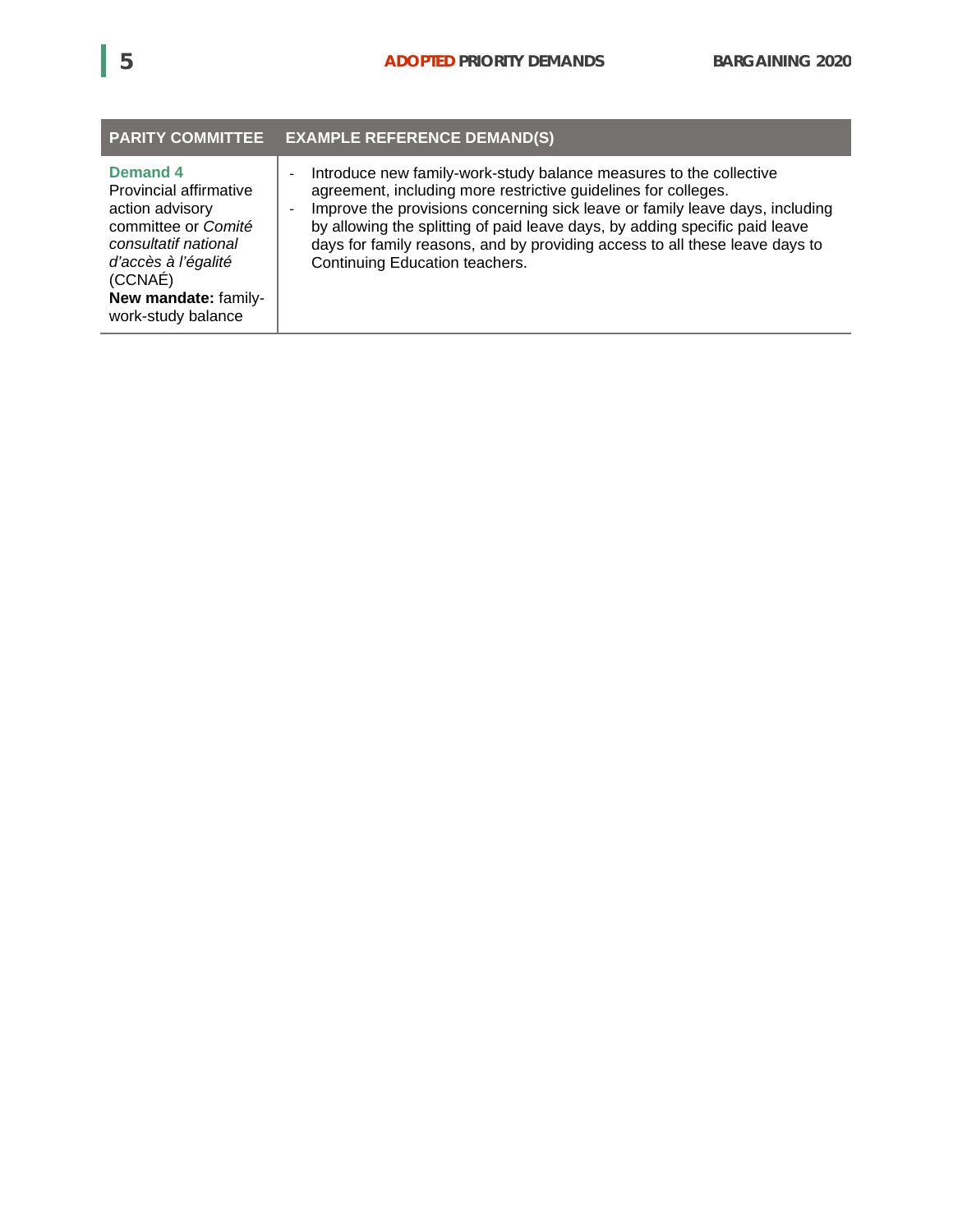|                                                                                                                                                                                      | PARITY COMMITTEE EXAMPLE REFERENCE DEMAND(S)                                                                                                                                                                                                                                                                                                                                                                         |
|--------------------------------------------------------------------------------------------------------------------------------------------------------------------------------------|----------------------------------------------------------------------------------------------------------------------------------------------------------------------------------------------------------------------------------------------------------------------------------------------------------------------------------------------------------------------------------------------------------------------|
| Demand 4<br>Provincial affirmative<br>action advisory<br>committee or Comité<br>consultatif national<br>d'accès à l'égalité<br>(CCNAÉ)<br>New mandate: family-<br>work-study balance | Introduce new family-work-study balance measures to the collective<br>agreement, including more restrictive guidelines for colleges.<br>Improve the provisions concerning sick leave or family leave days, including<br>by allowing the splitting of paid leave days, by adding specific paid leave<br>days for family reasons, and by providing access to all these leave days to<br>Continuing Education teachers. |